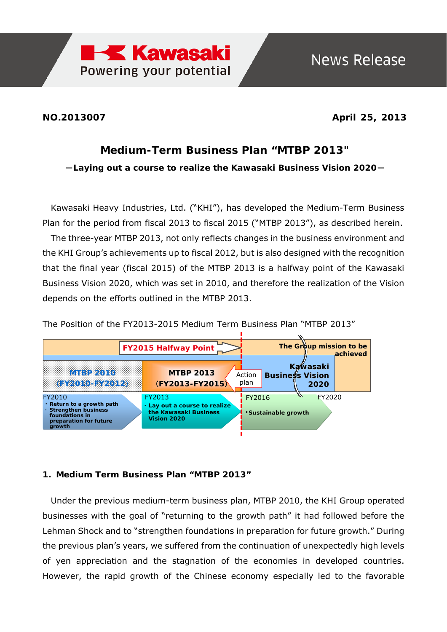

**NO.2013007 April 25, 2013**

## **Medium-Term Business Plan "MTBP 2013"**

-**Laying out a course to realize the Kawasaki Business Vision 2020**-

Kawasaki Heavy Industries, Ltd. ("KHI"), has developed the Medium-Term Business Plan for the period from fiscal 2013 to fiscal 2015 ("MTBP 2013"), as described herein. The three-year MTBP 2013, not only reflects changes in the business environment and the KHI Group's achievements up to fiscal 2012, but is also designed with the recognition that the final year (fiscal 2015) of the MTBP 2013 is a halfway point of the Kawasaki Business Vision 2020, which was set in 2010, and therefore the realization of the Vision depends on the efforts outlined in the MTBP 2013.

The Position of the FY2013-2015 Medium Term Business Plan "MTBP 2013"



## **1. Medium Term Business Plan "MTBP 2013"**

Under the previous medium-term business plan, MTBP 2010, the KHI Group operated businesses with the goal of "returning to the growth path" it had followed before the Lehman Shock and to "strengthen foundations in preparation for future growth." During the previous plan's years, we suffered from the continuation of unexpectedly high levels of yen appreciation and the stagnation of the economies in developed countries. However, the rapid growth of the Chinese economy especially led to the favorable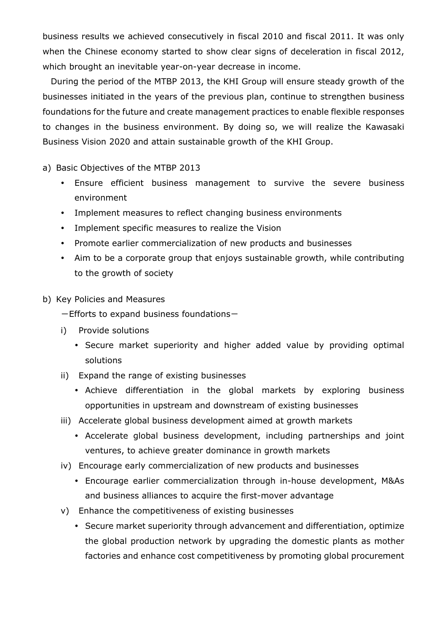business results we achieved consecutively in fiscal 2010 and fiscal 2011. It was only when the Chinese economy started to show clear signs of deceleration in fiscal 2012, which brought an inevitable year-on-year decrease in income.

During the period of the MTBP 2013, the KHI Group will ensure steady growth of the businesses initiated in the years of the previous plan, continue to strengthen business foundations for the future and create management practices to enable flexible responses to changes in the business environment. By doing so, we will realize the Kawasaki Business Vision 2020 and attain sustainable growth of the KHI Group.

a) Basic Objectives of the MTBP 2013

- Ensure efficient business management to survive the severe business environment
- Implement measures to reflect changing business environments
- Implement specific measures to realize the Vision
- Promote earlier commercialization of new products and businesses
- Aim to be a corporate group that enjoys sustainable growth, while contributing to the growth of society
- b) Key Policies and Measures

 $-$ Efforts to expand business foundations $-$ 

- i) Provide solutions
	- Secure market superiority and higher added value by providing optimal solutions
- ii) Expand the range of existing businesses
	- Achieve differentiation in the global markets by exploring business opportunities in upstream and downstream of existing businesses
- iii) Accelerate global business development aimed at growth markets
	- Accelerate global business development, including partnerships and joint ventures, to achieve greater dominance in growth markets
- iv) Encourage early commercialization of new products and businesses
	- Encourage earlier commercialization through in-house development, M&As and business alliances to acquire the first-mover advantage
- v) Enhance the competitiveness of existing businesses
	- Secure market superiority through advancement and differentiation, optimize the global production network by upgrading the domestic plants as mother factories and enhance cost competitiveness by promoting global procurement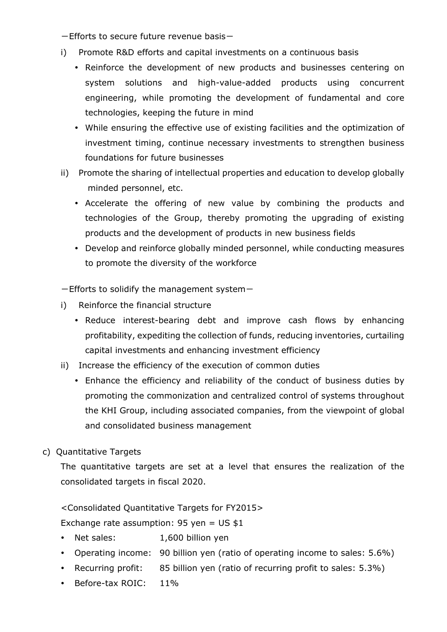$-$ Efforts to secure future revenue basis $-$ 

- i) Promote R&D efforts and capital investments on a continuous basis
	- Reinforce the development of new products and businesses centering on system solutions and high-value-added products using concurrent engineering, while promoting the development of fundamental and core technologies, keeping the future in mind
	- While ensuring the effective use of existing facilities and the optimization of investment timing, continue necessary investments to strengthen business foundations for future businesses
- ii) Promote the sharing of intellectual properties and education to develop globally minded personnel, etc.
	- Accelerate the offering of new value by combining the products and technologies of the Group, thereby promoting the upgrading of existing products and the development of products in new business fields
	- Develop and reinforce globally minded personnel, while conducting measures to promote the diversity of the workforce

 $-$ Efforts to solidify the management system $-$ 

- i) Reinforce the financial structure
	- Reduce interest-bearing debt and improve cash flows by enhancing profitability, expediting the collection of funds, reducing inventories, curtailing capital investments and enhancing investment efficiency
- ii) Increase the efficiency of the execution of common duties
	- Enhance the efficiency and reliability of the conduct of business duties by promoting the commonization and centralized control of systems throughout the KHI Group, including associated companies, from the viewpoint of global and consolidated business management
- c) Quantitative Targets

The quantitative targets are set at a level that ensures the realization of the consolidated targets in fiscal 2020.

<Consolidated Quantitative Targets for FY2015>

Exchange rate assumption:  $95$  yen = US \$1

- Net sales: 1,600 billion yen
- Operating income: 90 billion yen (ratio of operating income to sales: 5.6%)
- Recurring profit: 85 billion yen (ratio of recurring profit to sales: 5.3%)
- Before-tax ROIC: 11%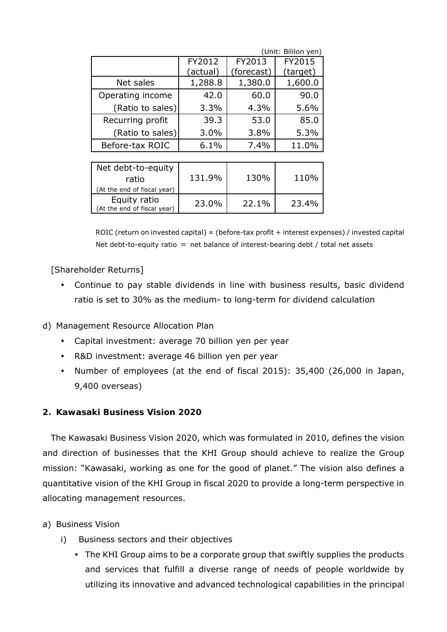|                  | (Unit: Bililon yen) |            |          |
|------------------|---------------------|------------|----------|
|                  | FY2012              | FY2013     | FY2015   |
|                  | (actual)            | (forecast) | (target) |
| Net sales        | 1,288.8             | 1,380.0    | 1,600.0  |
| Operating income | 42.0                | 60.0       | 90.0     |
| (Ratio to sales) | 3.3%                | 4.3%       | 5.6%     |
| Recurring profit | 39.3                | 53.0       | 85.0     |
| (Ratio to sales) | 3.0%                | 3.8%       | 5.3%     |
| Before-tax ROIC  | 6.1%                | 7.4%       | 11.0%    |
|                  |                     |            |          |

| Net debt-to-equity<br>ratio<br>(At the end of fiscal year) | 131.9% | 130%  | 110%  |
|------------------------------------------------------------|--------|-------|-------|
| Equity ratio<br>(At the end of fiscal year)                | 23.0%  | 22.1% | 23.4% |

ROIC (return on invested capital) = (before-tax profit + interest expenses) / invested capital Net debt-to-equity ratio  $=$  net balance of interest-bearing debt / total net assets

[Shareholder Returns]

 Continue to pay stable dividends in line with business results, basic dividend ratio is set to 30% as the medium- to long-term for dividend calculation

d) Management Resource Allocation Plan

- Capital investment: average 70 billion yen per year
- R&D investment: average 46 billion yen per year
- Number of employees (at the end of fiscal 2015): 35,400 (26,000 in Japan, 9,400 overseas)

## **2. Kawasaki Business Vision 2020**

The Kawasaki Business Vision 2020, which was formulated in 2010, defines the vision and direction of businesses that the KHI Group should achieve to realize the Group mission: "Kawasaki, working as one for the good of planet." The vision also defines a quantitative vision of the KHI Group in fiscal 2020 to provide a long-term perspective in allocating management resources.

a) Business Vision

- i) Business sectors and their objectives
	- The KHI Group aims to be a corporate group that swiftly supplies the products and services that fulfill a diverse range of needs of people worldwide by utilizing its innovative and advanced technological capabilities in the principal